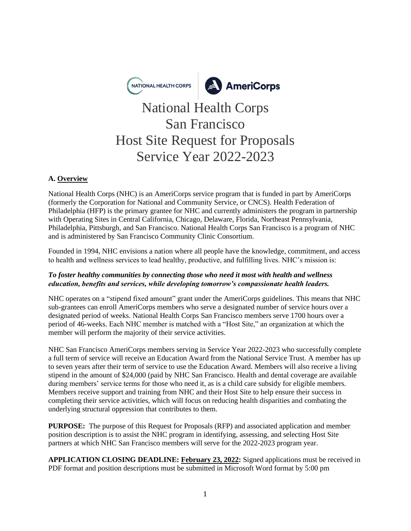

# National Health Corps San Francisco Host Site Request for Proposals Service Year 2022-2023

## **A. Overview**

National Health Corps (NHC) is an AmeriCorps service program that is funded in part by AmeriCorps (formerly the Corporation for National and Community Service, or CNCS). Health Federation of Philadelphia (HFP) is the primary grantee for NHC and currently administers the program in partnership with Operating Sites in Central California, Chicago, Delaware, Florida, Northeast Pennsylvania, Philadelphia, Pittsburgh, and San Francisco. National Health Corps San Francisco is a program of NHC and is administered by San Francisco Community Clinic Consortium.

Founded in 1994, NHC envisions a nation where all people have the knowledge, commitment, and access to health and wellness services to lead healthy, productive, and fulfilling lives. NHC's mission is:

### *To foster healthy communities by connecting those who need it most with health and wellness education, benefits and services, while developing tomorrow's compassionate health leaders.*

NHC operates on a "stipend fixed amount" grant under the AmeriCorps guidelines. This means that NHC sub-grantees can enroll AmeriCorps members who serve a designated number of service hours over a designated period of weeks. National Health Corps San Francisco members serve 1700 hours over a period of 46-weeks. Each NHC member is matched with a "Host Site," an organization at which the member will perform the majority of their service activities.

NHC San Francisco AmeriCorps members serving in Service Year 2022-2023 who successfully complete a full term of service will receive an Education Award from the National Service Trust. A member has up to seven years after their term of service to use the Education Award. Members will also receive a living stipend in the amount of \$24,000 (paid by NHC San Francisco. Health and dental coverage are available during members' service terms for those who need it, as is a child care subsidy for eligible members. Members receive support and training from NHC and their Host Site to help ensure their success in completing their service activities, which will focus on reducing health disparities and combating the underlying structural oppression that contributes to them.

**PURPOSE:** The purpose of this Request for Proposals (RFP) and associated application and member position description is to assist the NHC program in identifying, assessing, and selecting Host Site partners at which NHC San Francisco members will serve for the 2022-2023 program year.

**APPLICATION CLOSING DEADLINE: February 23, 2022:** Signed applications must be received in PDF format and position descriptions must be submitted in Microsoft Word format by 5:00 pm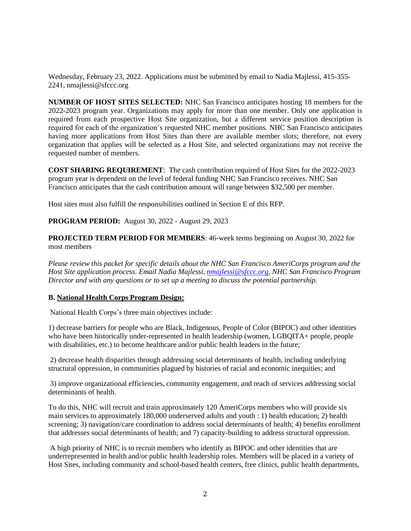Wednesday, February 23, 2022. Applications must be submitted by email to Nadia Majlessi, 415-355- 2241, nmajlessi@sfccc.org

**NUMBER OF HOST SITES SELECTED:** NHC San Francisco anticipates hosting 18 members for the 2022-2023 program year. Organizations may apply for more than one member. Only one application is required from each prospective Host Site organization, but a different service position description is required for each of the organization's requested NHC member positions. NHC San Francisco anticipates having more applications from Host Sites than there are available member slots; therefore, not every organization that applies will be selected as a Host Site, and selected organizations may not receive the requested number of members.

**COST SHARING REQUIREMENT**: The cash contribution required of Host Sites for the 2022-2023 program year is dependent on the level of federal funding NHC San Francisco receives. NHC San Francisco anticipates that the cash contribution amount will range between \$32,500 per member.

Host sites must also fulfill the responsibilities outlined in Section E of this RFP.

**PROGRAM PERIOD:** August 30, 2022 - August 29, 2023

**PROJECTED TERM PERIOD FOR MEMBERS**: 46-week terms beginning on August 30, 2022 for most members

*Please review this packet for specific details about the NHC San Francisco AmeriCorps program and the Host Site application process. Email Nadia Majlessi, [nmajlessi@sfccc.org,](mailto:nmajlessi@sfccc.org) NHC San Francisco Program Director and with any questions or to set up a meeting to discuss the potential partnership.* 

#### **B. National Health Corps Program Design:**

National Health Corps's three main objectives include:

1) decrease barriers for people who are Black, Indigenous, People of Color (BIPOC) and other identities who have been historically under-represented in health leadership (women, LGBQITA+ people, people with disabilities, etc.) to become healthcare and/or public health leaders in the future;

2) decrease health disparities through addressing social determinants of health, including underlying structural oppression, in communities plagued by histories of racial and economic inequities; and

3) improve organizational efficiencies, community engagement, and reach of services addressing social determinants of health.

To do this, NHC will recruit and train approximately 120 AmeriCorps members who will provide six main services to approximately 180,000 underserved adults and youth : 1) health education; 2) health screening; 3) navigation/care coordination to address social determinants of health; 4) benefits enrollment that addresses social determinants of health; and 7) capacity-building to address structural oppression.

A high priority of NHC is to recruit members who identify as BIPOC and other identities that are underrepresented in health and/or public health leadership roles. Members will be placed in a variety of Host Sites, including community and school-based health centers, free clinics, public health departments,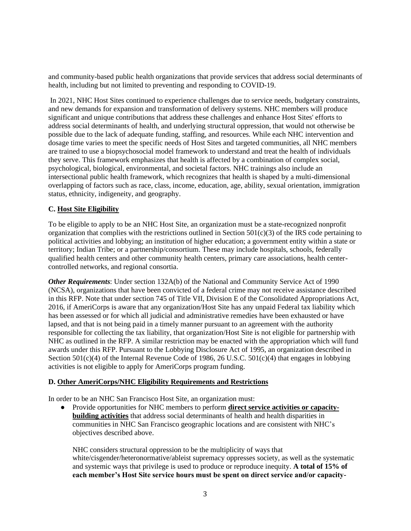and community-based public health organizations that provide services that address social determinants of health, including but not limited to preventing and responding to COVID-19.

In 2021, NHC Host Sites continued to experience challenges due to service needs, budgetary constraints, and new demands for expansion and transformation of delivery systems. NHC members will produce significant and unique contributions that address these challenges and enhance Host Sites' efforts to address social determinants of health, and underlying structural oppression, that would not otherwise be possible due to the lack of adequate funding, staffing, and resources. While each NHC intervention and dosage time varies to meet the specific needs of Host Sites and targeted communities, all NHC members are trained to use a biopsychosocial model framework to understand and treat the health of individuals they serve. This framework emphasizes that health is affected by a combination of complex social, psychological, biological, environmental, and societal factors. NHC trainings also include an intersectional public health framework, which recognizes that health is shaped by a multi-dimensional overlapping of factors such as race, class, income, education, age, ability, sexual orientation, immigration status, ethnicity, indigeneity, and geography.

### **C. Host Site Eligibility**

To be eligible to apply to be an NHC Host Site, an organization must be a state-recognized nonprofit organization that complies with the restrictions outlined in Section  $501(c)(3)$  of the IRS code pertaining to political activities and lobbying; an institution of higher education; a government entity within a state or territory; Indian Tribe; or a partnership/consortium. These may include hospitals, schools, federally qualified health centers and other community health centers, primary care associations, health centercontrolled networks, and regional consortia.

*Other Requirements*: Under section 132A(b) of the National and Community Service Act of 1990 (NCSA), organizations that have been convicted of a federal crime may not receive assistance described in this RFP. Note that under section 745 of Title VII, Division E of the Consolidated Appropriations Act, 2016, if AmeriCorps is aware that any organization/Host Site has any unpaid Federal tax liability which has been assessed or for which all judicial and administrative remedies have been exhausted or have lapsed, and that is not being paid in a timely manner pursuant to an agreement with the authority responsible for collecting the tax liability, that organization/Host Site is not eligible for partnership with NHC as outlined in the RFP. A similar restriction may be enacted with the appropriation which will fund awards under this RFP. Pursuant to the Lobbying Disclosure Act of 1995, an organization described in Section 501(c)(4) of the Internal Revenue Code of 1986, 26 U.S.C. 501(c)(4) that engages in lobbying activities is not eligible to apply for AmeriCorps program funding.

#### **D. Other AmeriCorps/NHC Eligibility Requirements and Restrictions**

In order to be an NHC San Francisco Host Site, an organization must:

● Provide opportunities for NHC members to perform **direct service activities or capacitybuilding activities** that address social determinants of health and health disparities in communities in NHC San Francisco geographic locations and are consistent with NHC's objectives described above.

NHC considers structural oppression to be the multiplicity of ways that white/cisgender/heteronormative/ableist supremacy oppresses society, as well as the systematic and systemic ways that privilege is used to produce or reproduce inequity. **A total of 15% of each member's Host Site service hours must be spent on direct service and/or capacity-**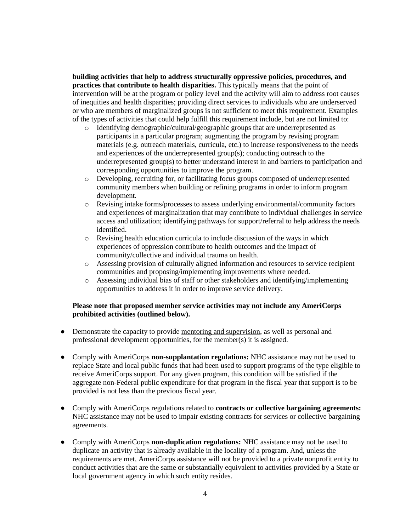**building activities that help to address structurally oppressive policies, procedures, and practices that contribute to health disparities.** This typically means that the point of intervention will be at the program or policy level and the activity will aim to address root causes of inequities and health disparities; providing direct services to individuals who are underserved or who are members of marginalized groups is not sufficient to meet this requirement. Examples of the types of activities that could help fulfill this requirement include, but are not limited to:

- o Identifying demographic/cultural/geographic groups that are underrepresented as participants in a particular program; augmenting the program by revising program materials (e.g. outreach materials, curricula, etc.) to increase responsiveness to the needs and experiences of the underrepresented group(s); conducting outreach to the underrepresented group(s) to better understand interest in and barriers to participation and corresponding opportunities to improve the program.
- o Developing, recruiting for, or facilitating focus groups composed of underrepresented community members when building or refining programs in order to inform program development.
- o Revising intake forms/processes to assess underlying environmental/community factors and experiences of marginalization that may contribute to individual challenges in service access and utilization; identifying pathways for support/referral to help address the needs identified.
- $\circ$  Revising health education curricula to include discussion of the ways in which experiences of oppression contribute to health outcomes and the impact of community/collective and individual trauma on health.
- o Assessing provision of culturally aligned information and resources to service recipient communities and proposing/implementing improvements where needed.
- o Assessing individual bias of staff or other stakeholders and identifying/implementing opportunities to address it in order to improve service delivery.

#### **Please note that proposed member service activities may not include any AmeriCorps prohibited activities (outlined below).**

- Demonstrate the capacity to provide mentoring and supervision, as well as personal and professional development opportunities, for the member(s) it is assigned.
- Comply with AmeriCorps **non-supplantation regulations:** NHC assistance may not be used to replace State and local public funds that had been used to support programs of the type eligible to receive AmeriCorps support. For any given program, this condition will be satisfied if the aggregate non-Federal public expenditure for that program in the fiscal year that support is to be provided is not less than the previous fiscal year.
- Comply with AmeriCorps regulations related to **contracts or collective bargaining agreements:**  NHC assistance may not be used to impair existing contracts for services or collective bargaining agreements.
- Comply with AmeriCorps **non-duplication regulations:** NHC assistance may not be used to duplicate an activity that is already available in the locality of a program. And, unless the requirements are met, AmeriCorps assistance will not be provided to a private nonprofit entity to conduct activities that are the same or substantially equivalent to activities provided by a State or local government agency in which such entity resides.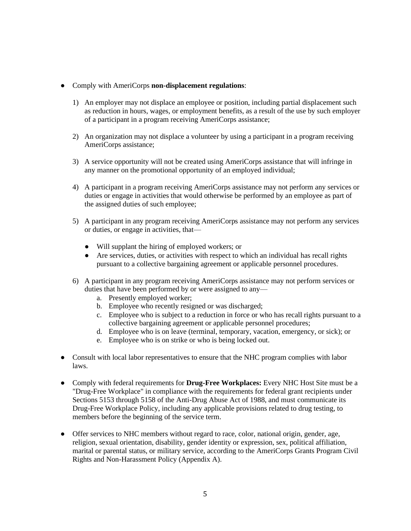- Comply with AmeriCorps **non-displacement regulations**:
	- 1) An employer may not displace an employee or position, including partial displacement such as reduction in hours, wages, or employment benefits, as a result of the use by such employer of a participant in a program receiving AmeriCorps assistance;
	- 2) An organization may not displace a volunteer by using a participant in a program receiving AmeriCorps assistance;
	- 3) A service opportunity will not be created using AmeriCorps assistance that will infringe in any manner on the promotional opportunity of an employed individual;
	- 4) A participant in a program receiving AmeriCorps assistance may not perform any services or duties or engage in activities that would otherwise be performed by an employee as part of the assigned duties of such employee;
	- 5) A participant in any program receiving AmeriCorps assistance may not perform any services or duties, or engage in activities, that—
		- Will supplant the hiring of employed workers; or
		- Are services, duties, or activities with respect to which an individual has recall rights pursuant to a collective bargaining agreement or applicable personnel procedures.
	- 6) A participant in any program receiving AmeriCorps assistance may not perform services or duties that have been performed by or were assigned to any
		- a. Presently employed worker;
		- b. Employee who recently resigned or was discharged;
		- c. Employee who is subject to a reduction in force or who has recall rights pursuant to a collective bargaining agreement or applicable personnel procedures;
		- d. Employee who is on leave (terminal, temporary, vacation, emergency, or sick); or
		- e. Employee who is on strike or who is being locked out.
- Consult with local labor representatives to ensure that the NHC program complies with labor laws.
- Comply with federal requirements for **Drug-Free Workplaces:** Every NHC Host Site must be a "Drug-Free Workplace" in compliance with the requirements for federal grant recipients under Sections 5153 through 5158 of the Anti-Drug Abuse Act of 1988, and must communicate its Drug-Free Workplace Policy, including any applicable provisions related to drug testing, to members before the beginning of the service term.
- Offer services to NHC members without regard to race, color, national origin, gender, age, religion, sexual orientation, disability, gender identity or expression, sex, political affiliation, marital or parental status, or military service, according to the AmeriCorps Grants Program Civil Rights and Non-Harassment Policy (Appendix A).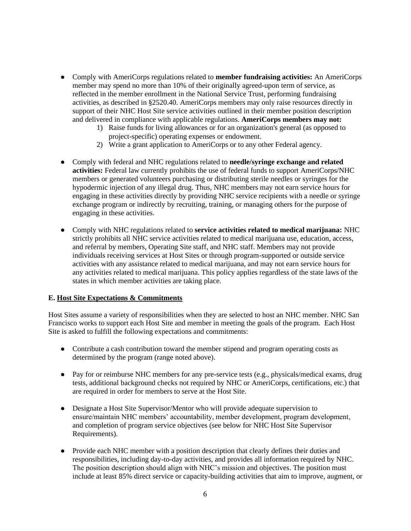- Comply with AmeriCorps regulations related to **member fundraising activities:** An AmeriCorps member may spend no more than 10% of their originally agreed-upon term of service, as reflected in the member enrollment in the National Service Trust, performing fundraising activities, as described in §2520.40. AmeriCorps members may only raise resources directly in support of their NHC Host Site service activities outlined in their member position description and delivered in compliance with applicable regulations. **AmeriCorps members may not:**
	- 1) Raise funds for living allowances or for an organization's general (as opposed to project-specific) operating expenses or endowment.
	- 2) Write a grant application to AmeriCorps or to any other Federal agency.
- Comply with federal and NHC regulations related to **needle/syringe exchange and related activities:** Federal law currently prohibits the use of federal funds to support AmeriCorps/NHC members or generated volunteers purchasing or distributing sterile needles or syringes for the hypodermic injection of any illegal drug. Thus, NHC members may not earn service hours for engaging in these activities directly by providing NHC service recipients with a needle or syringe exchange program or indirectly by recruiting, training, or managing others for the purpose of engaging in these activities.
- Comply with NHC regulations related to **service activities related to medical marijuana:** NHC strictly prohibits all NHC service activities related to medical marijuana use, education, access, and referral by members, Operating Site staff, and NHC staff. Members may not provide individuals receiving services at Host Sites or through program-supported or outside service activities with any assistance related to medical marijuana, and may not earn service hours for any activities related to medical marijuana. This policy applies regardless of the state laws of the states in which member activities are taking place.

#### **E. Host Site Expectations & Commitments**

Host Sites assume a variety of responsibilities when they are selected to host an NHC member. NHC San Francisco works to support each Host Site and member in meeting the goals of the program. Each Host Site is asked to fulfill the following expectations and commitments:

- Contribute a cash contribution toward the member stipend and program operating costs as determined by the program (range noted above).
- Pay for or reimburse NHC members for any pre-service tests (e.g., physicals/medical exams, drug tests, additional background checks not required by NHC or AmeriCorps, certifications, etc.) that are required in order for members to serve at the Host Site.
- Designate a Host Site Supervisor/Mentor who will provide adequate supervision to ensure/maintain NHC members' accountability, member development, program development, and completion of program service objectives (see below for NHC Host Site Supervisor Requirements).
- Provide each NHC member with a position description that clearly defines their duties and responsibilities, including day-to-day activities, and provides all information required by NHC. The position description should align with NHC's mission and objectives. The position must include at least 85% direct service or capacity-building activities that aim to improve, augment, or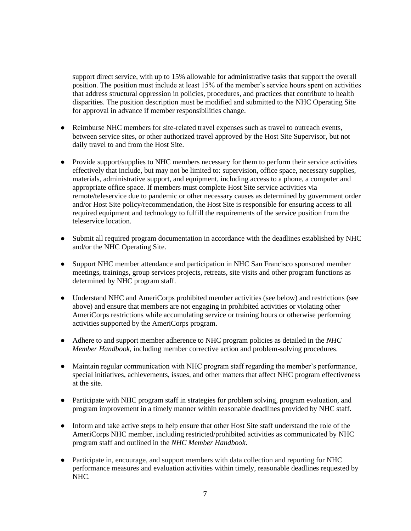support direct service, with up to 15% allowable for administrative tasks that support the overall position. The position must include at least 15% of the member's service hours spent on activities that address structural oppression in policies, procedures, and practices that contribute to health disparities. The position description must be modified and submitted to the NHC Operating Site for approval in advance if member responsibilities change.

- Reimburse NHC members for site-related travel expenses such as travel to outreach events, between service sites, or other authorized travel approved by the Host Site Supervisor, but not daily travel to and from the Host Site.
- Provide support/supplies to NHC members necessary for them to perform their service activities effectively that include, but may not be limited to: supervision, office space, necessary supplies, materials, administrative support, and equipment, including access to a phone, a computer and appropriate office space. If members must complete Host Site service activities via remote/teleservice due to pandemic or other necessary causes as determined by government order and/or Host Site policy/recommendation, the Host Site is responsible for ensuring access to all required equipment and technology to fulfill the requirements of the service position from the teleservice location.
- Submit all required program documentation in accordance with the deadlines established by NHC and/or the NHC Operating Site.
- Support NHC member attendance and participation in NHC San Francisco sponsored member meetings, trainings, group services projects, retreats, site visits and other program functions as determined by NHC program staff.
- Understand NHC and AmeriCorps prohibited member activities (see below) and restrictions (see above) and ensure that members are not engaging in prohibited activities or violating other AmeriCorps restrictions while accumulating service or training hours or otherwise performing activities supported by the AmeriCorps program.
- Adhere to and support member adherence to NHC program policies as detailed in the *NHC Member Handbook*, including member corrective action and problem-solving procedures.
- Maintain regular communication with NHC program staff regarding the member's performance, special initiatives, achievements, issues, and other matters that affect NHC program effectiveness at the site.
- Participate with NHC program staff in strategies for problem solving, program evaluation, and program improvement in a timely manner within reasonable deadlines provided by NHC staff.
- Inform and take active steps to help ensure that other Host Site staff understand the role of the AmeriCorps NHC member, including restricted/prohibited activities as communicated by NHC program staff and outlined in the *NHC Member Handbook*.
- Participate in, encourage, and support members with data collection and reporting for NHC performance measures and evaluation activities within timely, reasonable deadlines requested by NHC.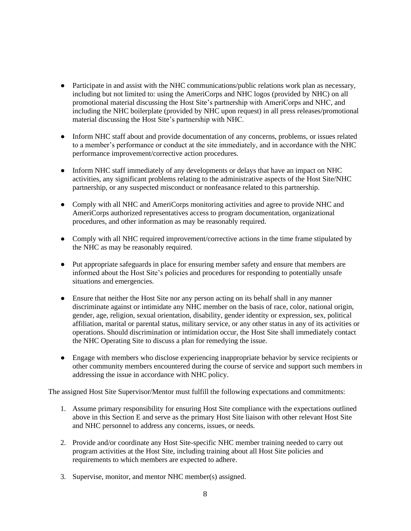- Participate in and assist with the NHC communications/public relations work plan as necessary, including but not limited to: using the AmeriCorps and NHC logos (provided by NHC) on all promotional material discussing the Host Site's partnership with AmeriCorps and NHC, and including the NHC boilerplate (provided by NHC upon request) in all press releases/promotional material discussing the Host Site's partnership with NHC.
- Inform NHC staff about and provide documentation of any concerns, problems, or issues related to a member's performance or conduct at the site immediately, and in accordance with the NHC performance improvement/corrective action procedures.
- Inform NHC staff immediately of any developments or delays that have an impact on NHC activities, any significant problems relating to the administrative aspects of the Host Site/NHC partnership, or any suspected misconduct or nonfeasance related to this partnership.
- Comply with all NHC and AmeriCorps monitoring activities and agree to provide NHC and AmeriCorps authorized representatives access to program documentation, organizational procedures, and other information as may be reasonably required.
- Comply with all NHC required improvement/corrective actions in the time frame stipulated by the NHC as may be reasonably required.
- Put appropriate safeguards in place for ensuring member safety and ensure that members are informed about the Host Site's policies and procedures for responding to potentially unsafe situations and emergencies.
- Ensure that neither the Host Site nor any person acting on its behalf shall in any manner discriminate against or intimidate any NHC member on the basis of race, color, national origin, gender, age, religion, sexual orientation, disability, gender identity or expression, sex, political affiliation, marital or parental status, military service, or any other status in any of its activities or operations. Should discrimination or intimidation occur, the Host Site shall immediately contact the NHC Operating Site to discuss a plan for remedying the issue.
- Engage with members who disclose experiencing inappropriate behavior by service recipients or other community members encountered during the course of service and support such members in addressing the issue in accordance with NHC policy.

The assigned Host Site Supervisor/Mentor must fulfill the following expectations and commitments:

- 1. Assume primary responsibility for ensuring Host Site compliance with the expectations outlined above in this Section E and serve as the primary Host Site liaison with other relevant Host Site and NHC personnel to address any concerns, issues, or needs.
- 2. Provide and/or coordinate any Host Site-specific NHC member training needed to carry out program activities at the Host Site, including training about all Host Site policies and requirements to which members are expected to adhere.
- 3. Supervise, monitor, and mentor NHC member(s) assigned.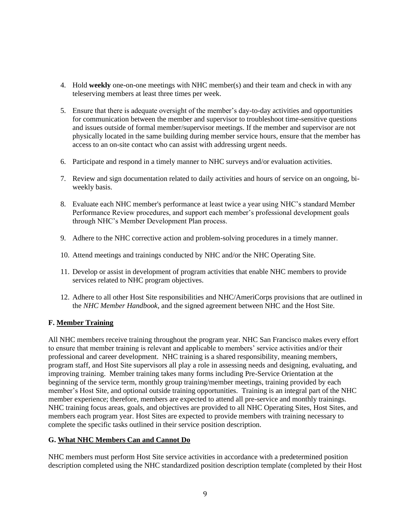- 4. Hold **weekly** one-on-one meetings with NHC member(s) and their team and check in with any teleserving members at least three times per week.
- 5. Ensure that there is adequate oversight of the member's day-to-day activities and opportunities for communication between the member and supervisor to troubleshoot time-sensitive questions and issues outside of formal member/supervisor meetings. If the member and supervisor are not physically located in the same building during member service hours, ensure that the member has access to an on-site contact who can assist with addressing urgent needs.
- 6. Participate and respond in a timely manner to NHC surveys and/or evaluation activities.
- 7. Review and sign documentation related to daily activities and hours of service on an ongoing, biweekly basis.
- 8. Evaluate each NHC member's performance at least twice a year using NHC's standard Member Performance Review procedures, and support each member's professional development goals through NHC's Member Development Plan process.
- 9. Adhere to the NHC corrective action and problem-solving procedures in a timely manner.
- 10. Attend meetings and trainings conducted by NHC and/or the NHC Operating Site.
- 11. Develop or assist in development of program activities that enable NHC members to provide services related to NHC program objectives.
- 12. Adhere to all other Host Site responsibilities and NHC/AmeriCorps provisions that are outlined in the *NHC Member Handbook*, and the signed agreement between NHC and the Host Site.

#### **F. Member Training**

All NHC members receive training throughout the program year. NHC San Francisco makes every effort to ensure that member training is relevant and applicable to members' service activities and/or their professional and career development. NHC training is a shared responsibility, meaning members, program staff, and Host Site supervisors all play a role in assessing needs and designing, evaluating, and improving training. Member training takes many forms including Pre-Service Orientation at the beginning of the service term, monthly group training/member meetings, training provided by each member's Host Site, and optional outside training opportunities. Training is an integral part of the NHC member experience; therefore, members are expected to attend all pre-service and monthly trainings. NHC training focus areas, goals, and objectives are provided to all NHC Operating Sites, Host Sites, and members each program year. Host Sites are expected to provide members with training necessary to complete the specific tasks outlined in their service position description.

#### **G. What NHC Members Can and Cannot Do**

NHC members must perform Host Site service activities in accordance with a predetermined position description completed using the NHC standardized position description template (completed by their Host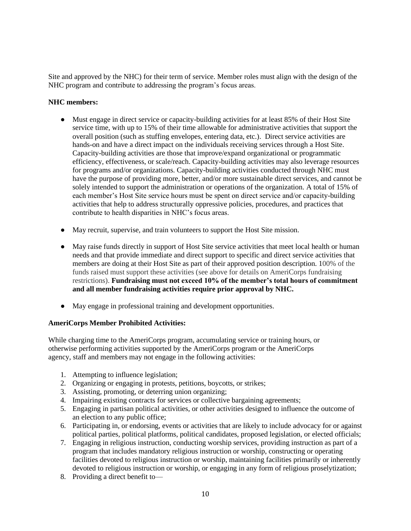Site and approved by the NHC) for their term of service. Member roles must align with the design of the NHC program and contribute to addressing the program's focus areas.

#### **NHC members:**

- Must engage in direct service or capacity-building activities for at least 85% of their Host Site service time, with up to 15% of their time allowable for administrative activities that support the overall position (such as stuffing envelopes, entering data, etc.). Direct service activities are hands-on and have a direct impact on the individuals receiving services through a Host Site. Capacity-building activities are those that improve/expand organizational or programmatic efficiency, effectiveness, or scale/reach. Capacity-building activities may also leverage resources for programs and/or organizations. Capacity-building activities conducted through NHC must have the purpose of providing more, better, and/or more sustainable direct services, and cannot be solely intended to support the administration or operations of the organization. A total of 15% of each member's Host Site service hours must be spent on direct service and/or capacity-building activities that help to address structurally oppressive policies, procedures, and practices that contribute to health disparities in NHC's focus areas.
- May recruit, supervise, and train volunteers to support the Host Site mission.
- May raise funds directly in support of Host Site service activities that meet local health or human needs and that provide immediate and direct support to specific and direct service activities that members are doing at their Host Site as part of their approved position description. 100% of the funds raised must support these activities (see above for details on AmeriCorps fundraising restrictions). **Fundraising must not exceed 10% of the member's total hours of commitment and all member fundraising activities require prior approval by NHC.**
- May engage in professional training and development opportunities.

#### **AmeriCorps Member Prohibited Activities:**

While charging time to the AmeriCorps program, accumulating service or training hours, or otherwise performing activities supported by the AmeriCorps program or the AmeriCorps agency, staff and members may not engage in the following activities:

- 1. Attempting to influence legislation;
- 2. Organizing or engaging in protests, petitions, boycotts, or strikes;
- 3. Assisting, promoting, or deterring union organizing;
- 4. Impairing existing contracts for services or collective bargaining agreements;
- 5. Engaging in partisan political activities, or other activities designed to influence the outcome of an election to any public office;
- 6. Participating in, or endorsing, events or activities that are likely to include advocacy for or against political parties, political platforms, political candidates, proposed legislation, or elected officials;
- 7. Engaging in religious instruction, conducting worship services, providing instruction as part of a program that includes mandatory religious instruction or worship, constructing or operating facilities devoted to religious instruction or worship, maintaining facilities primarily or inherently devoted to religious instruction or worship, or engaging in any form of religious proselytization;
- 8. Providing a direct benefit to—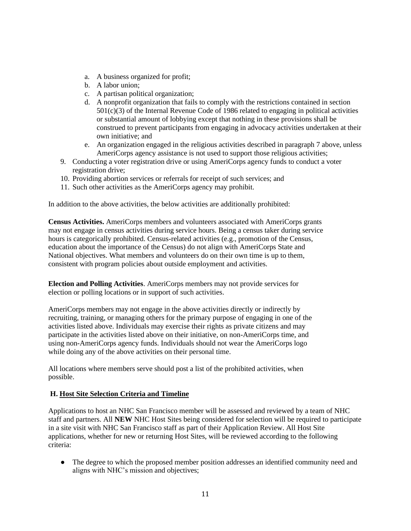- a. A business organized for profit;
- b. A labor union;
- c. A partisan political organization;
- d. A nonprofit organization that fails to comply with the restrictions contained in section 501(c)(3) of the Internal Revenue Code of 1986 related to engaging in political activities or substantial amount of lobbying except that nothing in these provisions shall be construed to prevent participants from engaging in advocacy activities undertaken at their own initiative; and
- e. An organization engaged in the religious activities described in paragraph 7 above, unless AmeriCorps agency assistance is not used to support those religious activities;
- 9. Conducting a voter registration drive or using AmeriCorps agency funds to conduct a voter registration drive;
- 10. Providing abortion services or referrals for receipt of such services; and
- 11. Such other activities as the AmeriCorps agency may prohibit.

In addition to the above activities, the below activities are additionally prohibited:

**Census Activities.** AmeriCorps members and volunteers associated with AmeriCorps grants may not engage in census activities during service hours. Being a census taker during service hours is categorically prohibited. Census-related activities (e.g., promotion of the Census, education about the importance of the Census) do not align with AmeriCorps State and National objectives. What members and volunteers do on their own time is up to them, consistent with program policies about outside employment and activities.

**Election and Polling Activities**. AmeriCorps members may not provide services for election or polling locations or in support of such activities.

AmeriCorps members may not engage in the above activities directly or indirectly by recruiting, training, or managing others for the primary purpose of engaging in one of the activities listed above. Individuals may exercise their rights as private citizens and may participate in the activities listed above on their initiative, on non-AmeriCorps time, and using non-AmeriCorps agency funds. Individuals should not wear the AmeriCorps logo while doing any of the above activities on their personal time.

All locations where members serve should post a list of the prohibited activities, when possible.

#### **H. Host Site Selection Criteria and Timeline**

Applications to host an NHC San Francisco member will be assessed and reviewed by a team of NHC staff and partners. All **NEW** NHC Host Sites being considered for selection will be required to participate in a site visit with NHC San Francisco staff as part of their Application Review. All Host Site applications, whether for new or returning Host Sites, will be reviewed according to the following criteria:

• The degree to which the proposed member position addresses an identified community need and aligns with NHC's mission and objectives;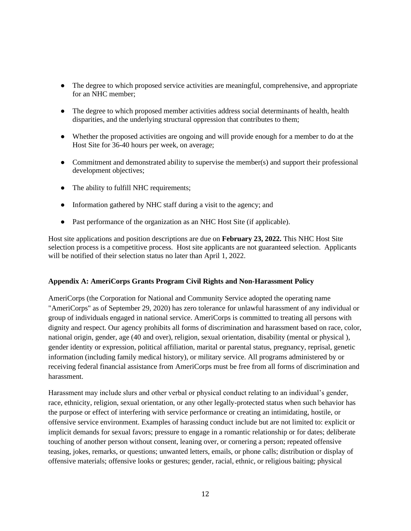- The degree to which proposed service activities are meaningful, comprehensive, and appropriate for an NHC member;
- The degree to which proposed member activities address social determinants of health, health disparities, and the underlying structural oppression that contributes to them;
- Whether the proposed activities are ongoing and will provide enough for a member to do at the Host Site for 36-40 hours per week, on average;
- Commitment and demonstrated ability to supervise the member(s) and support their professional development objectives;
- The ability to fulfill NHC requirements;
- Information gathered by NHC staff during a visit to the agency; and
- Past performance of the organization as an NHC Host Site (if applicable).

Host site applications and position descriptions are due on **February 23, 2022.** This NHC Host Site selection process is a competitive process. Host site applicants are not guaranteed selection. Applicants will be notified of their selection status no later than April 1, 2022.

#### **Appendix A: AmeriCorps Grants Program Civil Rights and Non-Harassment Policy**

AmeriCorps (the Corporation for National and Community Service adopted the operating name "AmeriCorps" as of September 29, 2020) has zero tolerance for unlawful harassment of any individual or group of individuals engaged in national service. AmeriCorps is committed to treating all persons with dignity and respect. Our agency prohibits all forms of discrimination and harassment based on race, color, national origin, gender, age (40 and over), religion, sexual orientation, disability (mental or physical ), gender identity or expression, political affiliation, marital or parental status, pregnancy, reprisal, genetic information (including family medical history), or military service. All programs administered by or receiving federal financial assistance from AmeriCorps must be free from all forms of discrimination and harassment.

Harassment may include slurs and other verbal or physical conduct relating to an individual's gender, race, ethnicity, religion, sexual orientation, or any other legally-protected status when such behavior has the purpose or effect of interfering with service performance or creating an intimidating, hostile, or offensive service environment. Examples of harassing conduct include but are not limited to: explicit or implicit demands for sexual favors; pressure to engage in a romantic relationship or for dates; deliberate touching of another person without consent, leaning over, or cornering a person; repeated offensive teasing, jokes, remarks, or questions; unwanted letters, emails, or phone calls; distribution or display of offensive materials; offensive looks or gestures; gender, racial, ethnic, or religious baiting; physical